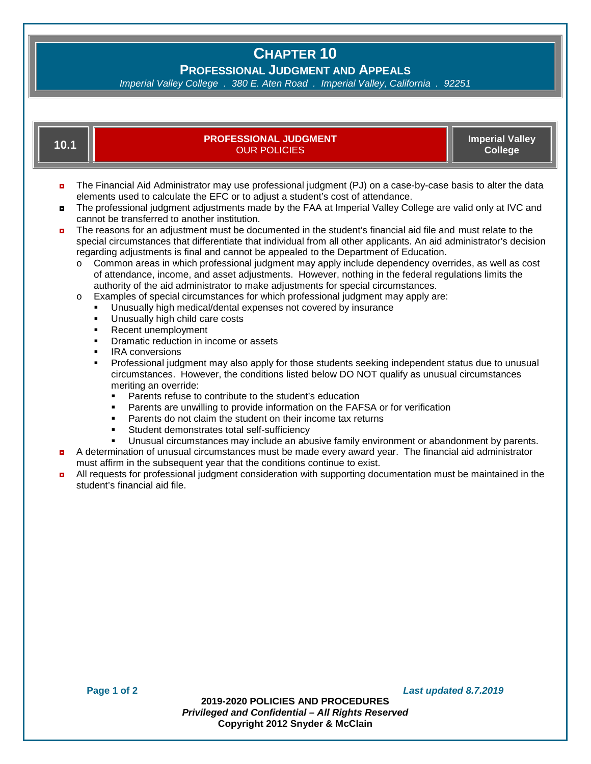# **CHAPTER 10**

**PROFESSIONAL JUDGMENT AND APPEALS**

*Imperial Valley College . 380 E. Aten Road . Imperial Valley, California . 92251*

| 10.1                                                                                                                                                                                                                                                                                                                                                                                                                                                                                                                                                                                                                                                                                                                                                                                                                                                                                                                                                                                                                                                                                                                                                                                                                                                                                                                                                                                                                                                                                                                                                                                                                                                                                                                                                   | <b>PROFESSIONAL JUDGMENT</b><br><b>OUR POLICIES</b> | <b>Imperial Valley</b><br><b>College</b> |
|--------------------------------------------------------------------------------------------------------------------------------------------------------------------------------------------------------------------------------------------------------------------------------------------------------------------------------------------------------------------------------------------------------------------------------------------------------------------------------------------------------------------------------------------------------------------------------------------------------------------------------------------------------------------------------------------------------------------------------------------------------------------------------------------------------------------------------------------------------------------------------------------------------------------------------------------------------------------------------------------------------------------------------------------------------------------------------------------------------------------------------------------------------------------------------------------------------------------------------------------------------------------------------------------------------------------------------------------------------------------------------------------------------------------------------------------------------------------------------------------------------------------------------------------------------------------------------------------------------------------------------------------------------------------------------------------------------------------------------------------------------|-----------------------------------------------------|------------------------------------------|
| The Financial Aid Administrator may use professional judgment (PJ) on a case-by-case basis to alter the data<br>ø<br>elements used to calculate the EFC or to adjust a student's cost of attendance.<br>The professional judgment adjustments made by the FAA at Imperial Valley College are valid only at IVC and<br>$\blacksquare$<br>cannot be transferred to another institution.<br>The reasons for an adjustment must be documented in the student's financial aid file and must relate to the<br>ø<br>special circumstances that differentiate that individual from all other applicants. An aid administrator's decision<br>regarding adjustments is final and cannot be appealed to the Department of Education.<br>Common areas in which professional judgment may apply include dependency overrides, as well as cost<br>O<br>of attendance, income, and asset adjustments. However, nothing in the federal regulations limits the<br>authority of the aid administrator to make adjustments for special circumstances.<br>Examples of special circumstances for which professional judgment may apply are:<br>$\circ$<br>Unusually high medical/dental expenses not covered by insurance<br>٠<br>Unusually high child care costs<br>٠<br>Recent unemployment<br>٠<br>Dramatic reduction in income or assets<br>٠<br><b>IRA</b> conversions<br>٠<br>Professional judgment may also apply for those students seeking independent status due to unusual<br>$\blacksquare$<br>circumstances. However, the conditions listed below DO NOT qualify as unusual circumstances<br>meriting an override:<br>Parents refuse to contribute to the student's education<br>Parents are unwilling to provide information on the FAFSA or for verification |                                                     |                                          |

- Parents do not claim the student on their income tax returns
- Student demonstrates total self-sufficiency
- Unusual circumstances may include an abusive family environment or abandonment by parents.
- A determination of unusual circumstances must be made every award year. The financial aid administrator must affirm in the subsequent year that the conditions continue to exist.
- **DETERTMENT CONSIDERTS FOR PROFESSIONAL JUDGER CONSIDERATION** CONSIDERTS CONSIDERED CONSIDERATION MUST **D**<br>All requests for professional judgment consideration with supporting documentation must be maintained in the student's financial aid file.

**Page 1 of 2** *Last updated 8.7.2019*

**2019-2020 POLICIES AND PROCEDURES** *Privileged and Confidential – All Rights Reserved* **Copyright 2012 Snyder & McClain**